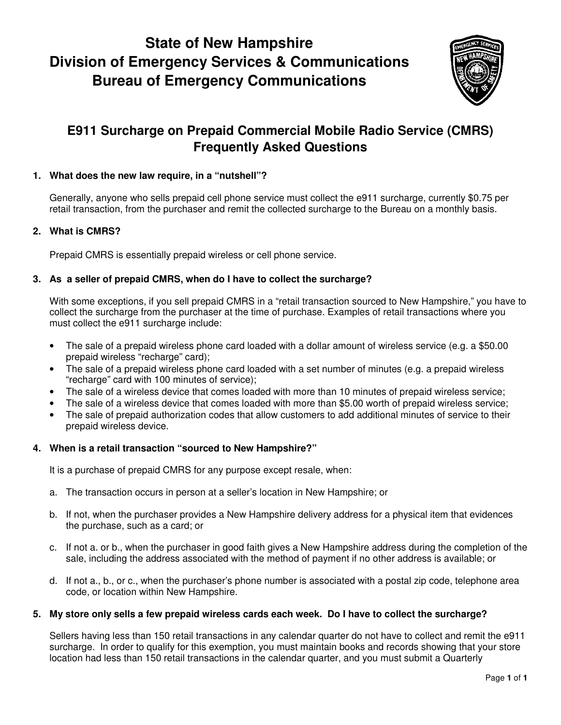# **State of New Hampshire Division of Emergency Services & Communications Bureau of Emergency Communications**



# **E911 Surcharge on Prepaid Commercial Mobile Radio Service (CMRS) Frequently Asked Questions**

# **1. What does the new law require, in a "nutshell"?**

Generally, anyone who sells prepaid cell phone service must collect the e911 surcharge, currently \$0.75 per retail transaction, from the purchaser and remit the collected surcharge to the Bureau on a monthly basis.

# **2. What is CMRS?**

Prepaid CMRS is essentially prepaid wireless or cell phone service.

## **3. As a seller of prepaid CMRS, when do I have to collect the surcharge?**

With some exceptions, if you sell prepaid CMRS in a "retail transaction sourced to New Hampshire," you have to collect the surcharge from the purchaser at the time of purchase. Examples of retail transactions where you must collect the e911 surcharge include:

- The sale of a prepaid wireless phone card loaded with a dollar amount of wireless service (e.g. a \$50.00 prepaid wireless "recharge" card);
- The sale of a prepaid wireless phone card loaded with a set number of minutes (e.g. a prepaid wireless "recharge" card with 100 minutes of service);
- The sale of a wireless device that comes loaded with more than 10 minutes of prepaid wireless service;
- The sale of a wireless device that comes loaded with more than \$5.00 worth of prepaid wireless service;
- The sale of prepaid authorization codes that allow customers to add additional minutes of service to their prepaid wireless device.

#### **4. When is a retail transaction "sourced to New Hampshire?"**

It is a purchase of prepaid CMRS for any purpose except resale, when:

- a. The transaction occurs in person at a seller's location in New Hampshire; or
- b. If not, when the purchaser provides a New Hampshire delivery address for a physical item that evidences the purchase, such as a card; or
- c. If not a. or b., when the purchaser in good faith gives a New Hampshire address during the completion of the sale, including the address associated with the method of payment if no other address is available; or
- d. If not a., b., or c., when the purchaser's phone number is associated with a postal zip code, telephone area code, or location within New Hampshire.

#### **5. My store only sells a few prepaid wireless cards each week. Do I have to collect the surcharge?**

Sellers having less than 150 retail transactions in any calendar quarter do not have to collect and remit the e911 surcharge. In order to qualify for this exemption, you must maintain books and records showing that your store location had less than 150 retail transactions in the calendar quarter, and you must submit a Quarterly